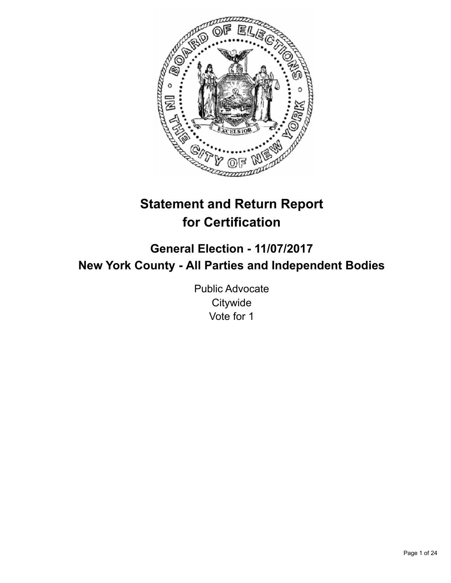

# **Statement and Return Report for Certification**

## **General Election - 11/07/2017 New York County - All Parties and Independent Bodies**

Public Advocate **Citywide** Vote for 1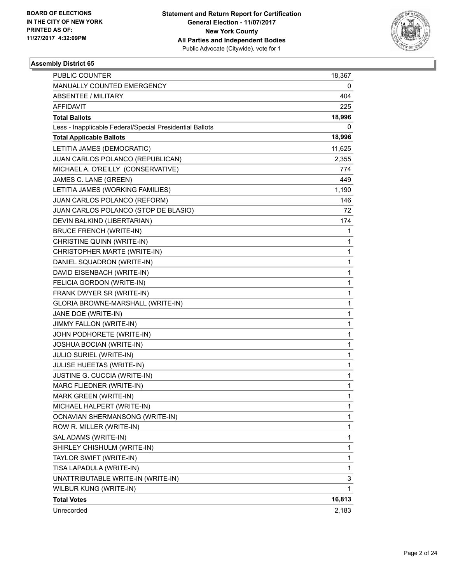

| PUBLIC COUNTER                                           | 18,367 |
|----------------------------------------------------------|--------|
| MANUALLY COUNTED EMERGENCY                               | 0      |
| <b>ABSENTEE / MILITARY</b>                               | 404    |
| AFFIDAVIT                                                | 225    |
| <b>Total Ballots</b>                                     | 18,996 |
| Less - Inapplicable Federal/Special Presidential Ballots | 0      |
| <b>Total Applicable Ballots</b>                          | 18,996 |
| LETITIA JAMES (DEMOCRATIC)                               | 11,625 |
| JUAN CARLOS POLANCO (REPUBLICAN)                         | 2,355  |
| MICHAEL A. O'REILLY (CONSERVATIVE)                       | 774    |
| JAMES C. LANE (GREEN)                                    | 449    |
| LETITIA JAMES (WORKING FAMILIES)                         | 1,190  |
| JUAN CARLOS POLANCO (REFORM)                             | 146    |
| JUAN CARLOS POLANCO (STOP DE BLASIO)                     | 72     |
| DEVIN BALKIND (LIBERTARIAN)                              | 174    |
| <b>BRUCE FRENCH (WRITE-IN)</b>                           | 1      |
| CHRISTINE QUINN (WRITE-IN)                               | 1      |
| CHRISTOPHER MARTE (WRITE-IN)                             | 1      |
| DANIEL SQUADRON (WRITE-IN)                               | 1      |
| DAVID EISENBACH (WRITE-IN)                               | 1      |
| FELICIA GORDON (WRITE-IN)                                | 1      |
| FRANK DWYER SR (WRITE-IN)                                | 1      |
| GLORIA BROWNE-MARSHALL (WRITE-IN)                        | 1      |
| JANE DOE (WRITE-IN)                                      | 1      |
| JIMMY FALLON (WRITE-IN)                                  | 1      |
| JOHN PODHORETE (WRITE-IN)                                | 1      |
| JOSHUA BOCIAN (WRITE-IN)                                 | 1      |
| <b>JULIO SURIEL (WRITE-IN)</b>                           | 1      |
| JULISE HUEETAS (WRITE-IN)                                | 1      |
| JUSTINE G. CUCCIA (WRITE-IN)                             | 1      |
| MARC FLIEDNER (WRITE-IN)                                 | 1      |
| MARK GREEN (WRITE-IN)                                    | 1      |
| MICHAEL HALPERT (WRITE-IN)                               | 1      |
| OCNAVIAN SHERMANSONG (WRITE-IN)                          | 1      |
| ROW R. MILLER (WRITE-IN)                                 | 1      |
| SAL ADAMS (WRITE-IN)                                     | 1      |
| SHIRLEY CHISHULM (WRITE-IN)                              | 1      |
| TAYLOR SWIFT (WRITE-IN)                                  | 1      |
| TISA LAPADULA (WRITE-IN)                                 | 1      |
| UNATTRIBUTABLE WRITE-IN (WRITE-IN)                       | 3      |
| WILBUR KUNG (WRITE-IN)                                   | 1      |
| <b>Total Votes</b>                                       | 16,813 |
| Unrecorded                                               | 2,183  |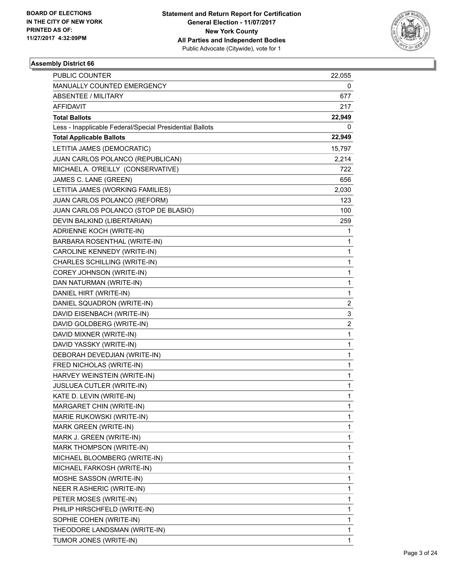

| PUBLIC COUNTER                                           | 22,055                  |
|----------------------------------------------------------|-------------------------|
| MANUALLY COUNTED EMERGENCY                               | 0                       |
| <b>ABSENTEE / MILITARY</b>                               | 677                     |
| AFFIDAVIT                                                | 217                     |
| <b>Total Ballots</b>                                     | 22,949                  |
| Less - Inapplicable Federal/Special Presidential Ballots | 0                       |
| <b>Total Applicable Ballots</b>                          | 22,949                  |
| LETITIA JAMES (DEMOCRATIC)                               | 15,797                  |
| JUAN CARLOS POLANCO (REPUBLICAN)                         | 2,214                   |
| MICHAEL A. O'REILLY (CONSERVATIVE)                       | 722                     |
| JAMES C. LANE (GREEN)                                    | 656                     |
| LETITIA JAMES (WORKING FAMILIES)                         | 2,030                   |
| JUAN CARLOS POLANCO (REFORM)                             | 123                     |
| JUAN CARLOS POLANCO (STOP DE BLASIO)                     | 100                     |
| DEVIN BALKIND (LIBERTARIAN)                              | 259                     |
| <b>ADRIENNE KOCH (WRITE-IN)</b>                          | 1                       |
| BARBARA ROSENTHAL (WRITE-IN)                             | 1                       |
| CAROLINE KENNEDY (WRITE-IN)                              | 1                       |
| CHARLES SCHILLING (WRITE-IN)                             | 1                       |
| COREY JOHNSON (WRITE-IN)                                 | 1                       |
| DAN NATURMAN (WRITE-IN)                                  | 1                       |
| DANIEL HIRT (WRITE-IN)                                   | 1                       |
| DANIEL SQUADRON (WRITE-IN)                               | $\overline{2}$          |
| DAVID EISENBACH (WRITE-IN)                               | 3                       |
| DAVID GOLDBERG (WRITE-IN)                                | $\overline{\mathbf{c}}$ |
| DAVID MIXNER (WRITE-IN)                                  | 1                       |
| DAVID YASSKY (WRITE-IN)                                  | 1                       |
| DEBORAH DEVEDJIAN (WRITE-IN)                             | 1                       |
| FRED NICHOLAS (WRITE-IN)                                 | 1                       |
| HARVEY WEINSTEIN (WRITE-IN)                              | 1                       |
| JUSLUEA CUTLER (WRITE-IN)                                | 1                       |
| KATE D. LEVIN (WRITE-IN)                                 | 1                       |
| MARGARET CHIN (WRITE-IN)                                 | 1                       |
| MARIE RUKOWSKI (WRITE-IN)                                | 1                       |
| <b>MARK GREEN (WRITE-IN)</b>                             | 1                       |
| MARK J. GREEN (WRITE-IN)                                 | 1                       |
| MARK THOMPSON (WRITE-IN)                                 | 1                       |
| MICHAEL BLOOMBERG (WRITE-IN)                             | 1                       |
| MICHAEL FARKOSH (WRITE-IN)                               | 1                       |
| MOSHE SASSON (WRITE-IN)                                  | 1                       |
| NEER R ASHERIC (WRITE-IN)                                | 1                       |
| PETER MOSES (WRITE-IN)                                   | 1                       |
| PHILIP HIRSCHFELD (WRITE-IN)                             | 1                       |
| SOPHIE COHEN (WRITE-IN)                                  | 1                       |
| THEODORE LANDSMAN (WRITE-IN)                             | 1                       |
| TUMOR JONES (WRITE-IN)                                   | 1                       |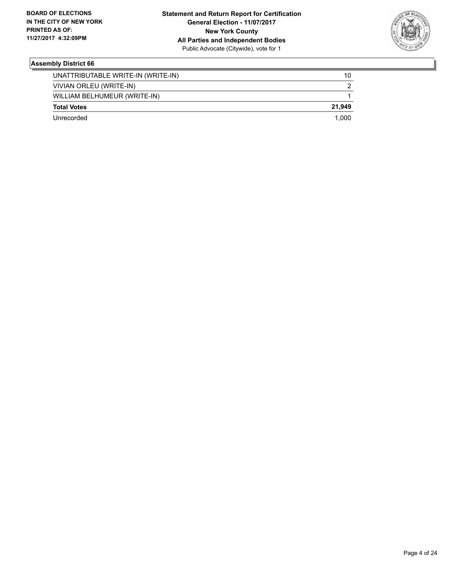

| Unrecorded                         | 1.000  |
|------------------------------------|--------|
| <b>Total Votes</b>                 | 21.949 |
| WILLIAM BELHUMEUR (WRITE-IN)       |        |
| VIVIAN ORLEU (WRITE-IN)            |        |
| UNATTRIBUTABLE WRITE-IN (WRITE-IN) | 10     |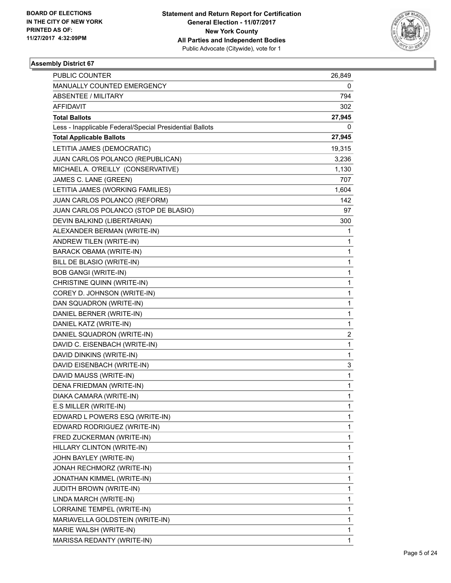

| PUBLIC COUNTER                                           | 26,849 |
|----------------------------------------------------------|--------|
| MANUALLY COUNTED EMERGENCY                               | 0      |
| <b>ABSENTEE / MILITARY</b>                               | 794    |
| AFFIDAVIT                                                | 302    |
| <b>Total Ballots</b>                                     | 27,945 |
| Less - Inapplicable Federal/Special Presidential Ballots | 0      |
| <b>Total Applicable Ballots</b>                          | 27,945 |
| LETITIA JAMES (DEMOCRATIC)                               | 19,315 |
| JUAN CARLOS POLANCO (REPUBLICAN)                         | 3,236  |
| MICHAEL A. O'REILLY (CONSERVATIVE)                       | 1,130  |
| JAMES C. LANE (GREEN)                                    | 707    |
| LETITIA JAMES (WORKING FAMILIES)                         | 1,604  |
| JUAN CARLOS POLANCO (REFORM)                             | 142    |
| JUAN CARLOS POLANCO (STOP DE BLASIO)                     | 97     |
| DEVIN BALKIND (LIBERTARIAN)                              | 300    |
| ALEXANDER BERMAN (WRITE-IN)                              | 1      |
| ANDREW TILEN (WRITE-IN)                                  | 1      |
| <b>BARACK OBAMA (WRITE-IN)</b>                           | 1      |
| BILL DE BLASIO (WRITE-IN)                                | 1      |
| <b>BOB GANGI (WRITE-IN)</b>                              | 1      |
| CHRISTINE QUINN (WRITE-IN)                               | 1      |
| COREY D. JOHNSON (WRITE-IN)                              | 1      |
| DAN SQUADRON (WRITE-IN)                                  | 1      |
| DANIEL BERNER (WRITE-IN)                                 | 1      |
| DANIEL KATZ (WRITE-IN)                                   | 1      |
| DANIEL SQUADRON (WRITE-IN)                               | 2      |
| DAVID C. EISENBACH (WRITE-IN)                            | 1      |
| DAVID DINKINS (WRITE-IN)                                 | 1      |
| DAVID EISENBACH (WRITE-IN)                               | 3      |
| DAVID MAUSS (WRITE-IN)                                   | 1      |
| DENA FRIEDMAN (WRITE-IN)                                 | 1      |
| DIAKA CAMARA (WRITE-IN)                                  | 1      |
| E.S MILLER (WRITE-IN)                                    | 1      |
| EDWARD L POWERS ESQ (WRITE-IN)                           | 1      |
| EDWARD RODRIGUEZ (WRITE-IN)                              | 1      |
| FRED ZUCKERMAN (WRITE-IN)                                | 1      |
| HILLARY CLINTON (WRITE-IN)                               | 1      |
| JOHN BAYLEY (WRITE-IN)                                   | 1      |
| JONAH RECHMORZ (WRITE-IN)                                | 1      |
| JONATHAN KIMMEL (WRITE-IN)                               | 1      |
| JUDITH BROWN (WRITE-IN)                                  | 1      |
| LINDA MARCH (WRITE-IN)                                   | 1      |
| LORRAINE TEMPEL (WRITE-IN)                               | 1      |
| MARIAVELLA GOLDSTEIN (WRITE-IN)                          | 1      |
| MARIE WALSH (WRITE-IN)                                   | 1      |
| MARISSA REDANTY (WRITE-IN)                               | 1      |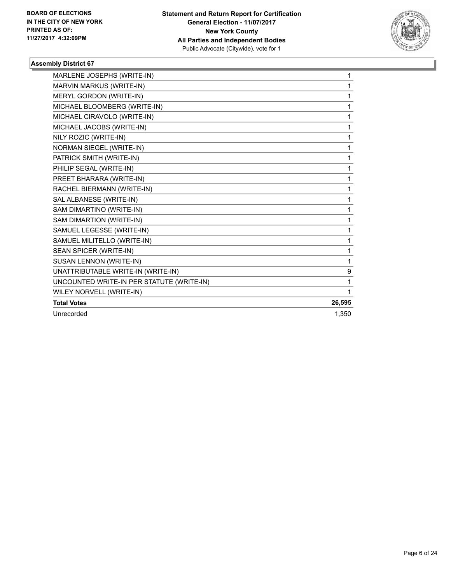

| MARLENE JOSEPHS (WRITE-IN)                | 1      |
|-------------------------------------------|--------|
| MARVIN MARKUS (WRITE-IN)                  | 1      |
| MERYL GORDON (WRITE-IN)                   | 1      |
| MICHAEL BLOOMBERG (WRITE-IN)              | 1      |
| MICHAEL CIRAVOLO (WRITE-IN)               | 1      |
| MICHAEL JACOBS (WRITE-IN)                 | 1      |
| NILY ROZIC (WRITE-IN)                     | 1      |
| NORMAN SIEGEL (WRITE-IN)                  | 1      |
| PATRICK SMITH (WRITE-IN)                  | 1      |
| PHILIP SEGAL (WRITE-IN)                   | 1      |
| PREET BHARARA (WRITE-IN)                  | 1      |
| RACHEL BIERMANN (WRITE-IN)                | 1      |
| SAL ALBANESE (WRITE-IN)                   | 1      |
| SAM DIMARTINO (WRITE-IN)                  | 1      |
| SAM DIMARTION (WRITE-IN)                  | 1      |
| SAMUEL LEGESSE (WRITE-IN)                 | 1      |
| SAMUEL MILITELLO (WRITE-IN)               | 1      |
| SEAN SPICER (WRITE-IN)                    | 1      |
| SUSAN LENNON (WRITE-IN)                   | 1      |
| UNATTRIBUTABLE WRITE-IN (WRITE-IN)        | 9      |
| UNCOUNTED WRITE-IN PER STATUTE (WRITE-IN) | 1      |
| WILEY NORVELL (WRITE-IN)                  | 1      |
| <b>Total Votes</b>                        | 26,595 |
| Unrecorded                                | 1.350  |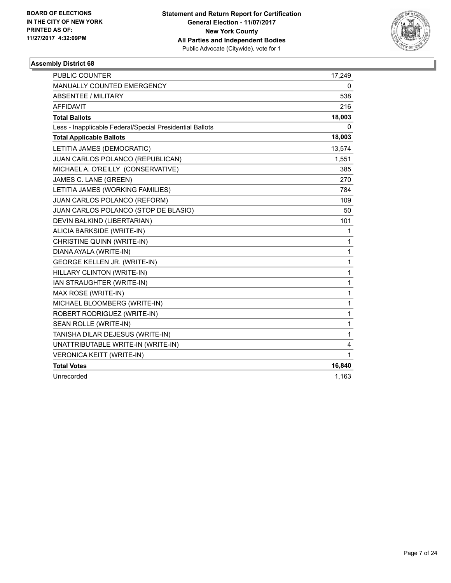

| <b>PUBLIC COUNTER</b>                                    | 17,249 |
|----------------------------------------------------------|--------|
| MANUALLY COUNTED EMERGENCY                               | 0      |
| ABSENTEE / MILITARY                                      | 538    |
| <b>AFFIDAVIT</b>                                         | 216    |
| <b>Total Ballots</b>                                     | 18,003 |
| Less - Inapplicable Federal/Special Presidential Ballots | 0      |
| <b>Total Applicable Ballots</b>                          | 18,003 |
| LETITIA JAMES (DEMOCRATIC)                               | 13,574 |
| JUAN CARLOS POLANCO (REPUBLICAN)                         | 1,551  |
| MICHAEL A. O'REILLY (CONSERVATIVE)                       | 385    |
| JAMES C. LANE (GREEN)                                    | 270    |
| LETITIA JAMES (WORKING FAMILIES)                         | 784    |
| JUAN CARLOS POLANCO (REFORM)                             | 109    |
| JUAN CARLOS POLANCO (STOP DE BLASIO)                     | 50     |
| DEVIN BALKIND (LIBERTARIAN)                              | 101    |
| ALICIA BARKSIDE (WRITE-IN)                               | 1      |
| CHRISTINE QUINN (WRITE-IN)                               | 1      |
| DIANA AYALA (WRITE-IN)                                   | 1      |
| GEORGE KELLEN JR. (WRITE-IN)                             | 1      |
| HILLARY CLINTON (WRITE-IN)                               | 1      |
| <b>IAN STRAUGHTER (WRITE-IN)</b>                         | 1      |
| MAX ROSE (WRITE-IN)                                      | 1      |
| MICHAEL BLOOMBERG (WRITE-IN)                             | 1      |
| ROBERT RODRIGUEZ (WRITE-IN)                              | 1      |
| SEAN ROLLE (WRITE-IN)                                    | 1      |
| TANISHA DILAR DEJESUS (WRITE-IN)                         | 1      |
| UNATTRIBUTABLE WRITE-IN (WRITE-IN)                       | 4      |
| <b>VERONICA KEITT (WRITE-IN)</b>                         | 1      |
| <b>Total Votes</b>                                       | 16,840 |
| Unrecorded                                               | 1,163  |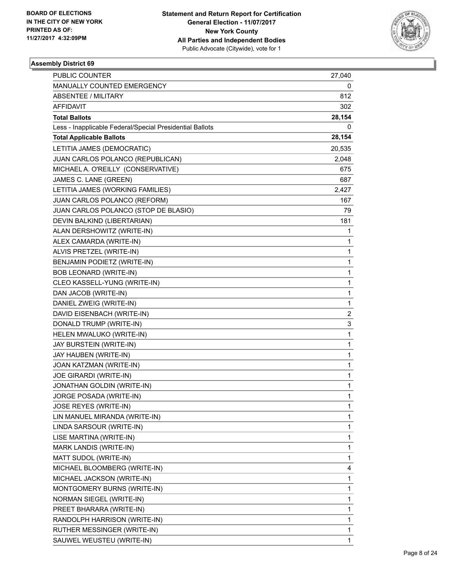

| <b>PUBLIC COUNTER</b>                                    | 27,040       |
|----------------------------------------------------------|--------------|
| MANUALLY COUNTED EMERGENCY                               | 0            |
| <b>ABSENTEE / MILITARY</b>                               | 812          |
| AFFIDAVIT                                                | 302          |
| <b>Total Ballots</b>                                     | 28,154       |
| Less - Inapplicable Federal/Special Presidential Ballots | 0            |
| <b>Total Applicable Ballots</b>                          | 28,154       |
| LETITIA JAMES (DEMOCRATIC)                               | 20,535       |
| JUAN CARLOS POLANCO (REPUBLICAN)                         | 2,048        |
| MICHAEL A. O'REILLY (CONSERVATIVE)                       | 675          |
| JAMES C. LANE (GREEN)                                    | 687          |
| LETITIA JAMES (WORKING FAMILIES)                         | 2,427        |
| JUAN CARLOS POLANCO (REFORM)                             | 167          |
| JUAN CARLOS POLANCO (STOP DE BLASIO)                     | 79           |
| DEVIN BALKIND (LIBERTARIAN)                              | 181          |
| ALAN DERSHOWITZ (WRITE-IN)                               | 1            |
| ALEX CAMARDA (WRITE-IN)                                  | 1            |
| ALVIS PRETZEL (WRITE-IN)                                 | 1            |
| BENJAMIN PODIETZ (WRITE-IN)                              | 1            |
| BOB LEONARD (WRITE-IN)                                   | 1            |
| CLEO KASSELL-YUNG (WRITE-IN)                             | 1            |
| DAN JACOB (WRITE-IN)                                     | 1            |
| DANIEL ZWEIG (WRITE-IN)                                  | 1            |
| DAVID EISENBACH (WRITE-IN)                               | 2            |
| DONALD TRUMP (WRITE-IN)                                  | 3            |
| HELEN MWALUKO (WRITE-IN)                                 | 1            |
| JAY BURSTEIN (WRITE-IN)                                  | 1            |
| JAY HAUBEN (WRITE-IN)                                    | 1            |
| JOAN KATZMAN (WRITE-IN)                                  | 1            |
| JOE GIRARDI (WRITE-IN)                                   | 1            |
| JONATHAN GOLDIN (WRITE-IN)                               | 1            |
| JORGE POSADA (WRITE-IN)                                  | $\mathbf{1}$ |
| JOSE REYES (WRITE-IN)                                    | 1            |
| LIN MANUEL MIRANDA (WRITE-IN)                            | 1            |
| LINDA SARSOUR (WRITE-IN)                                 | 1            |
| LISE MARTINA (WRITE-IN)                                  | 1            |
| MARK LANDIS (WRITE-IN)                                   | 1            |
| MATT SUDOL (WRITE-IN)                                    | 1            |
| MICHAEL BLOOMBERG (WRITE-IN)                             | 4            |
| MICHAEL JACKSON (WRITE-IN)                               | 1            |
| MONTGOMERY BURNS (WRITE-IN)                              | 1            |
| <b>NORMAN SIEGEL (WRITE-IN)</b>                          | 1            |
| PREET BHARARA (WRITE-IN)                                 | 1            |
| RANDOLPH HARRISON (WRITE-IN)                             | 1            |
| RUTHER MESSINGER (WRITE-IN)                              | 1            |
| SAUWEL WEUSTEU (WRITE-IN)                                | 1            |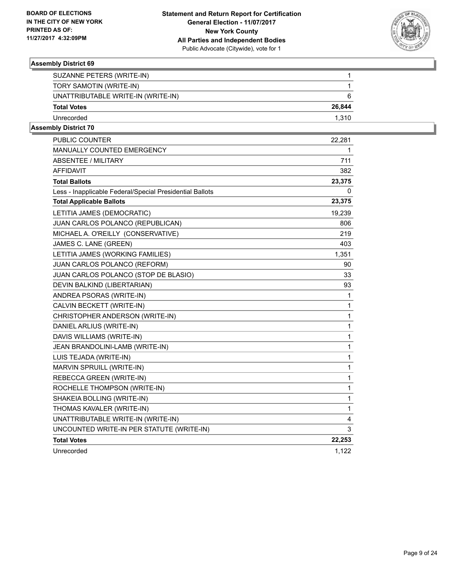

| SUZANNE PETERS (WRITE-IN)          |        |
|------------------------------------|--------|
| TORY SAMOTIN (WRITE-IN)            |        |
| UNATTRIBUTABLE WRITE-IN (WRITE-IN) | 6      |
| <b>Total Votes</b>                 | 26.844 |
| Unrecorded                         | 1.310  |
|                                    |        |

| <b>PUBLIC COUNTER</b>                                    | 22,281 |
|----------------------------------------------------------|--------|
| <b>MANUALLY COUNTED EMERGENCY</b>                        | 1      |
| <b>ABSENTEE / MILITARY</b>                               | 711    |
| <b>AFFIDAVIT</b>                                         | 382    |
| <b>Total Ballots</b>                                     | 23,375 |
| Less - Inapplicable Federal/Special Presidential Ballots | 0      |
| <b>Total Applicable Ballots</b>                          | 23,375 |
| LETITIA JAMES (DEMOCRATIC)                               | 19,239 |
| JUAN CARLOS POLANCO (REPUBLICAN)                         | 806    |
| MICHAEL A. O'REILLY (CONSERVATIVE)                       | 219    |
| JAMES C. LANE (GREEN)                                    | 403    |
| LETITIA JAMES (WORKING FAMILIES)                         | 1,351  |
| JUAN CARLOS POLANCO (REFORM)                             | 90     |
| JUAN CARLOS POLANCO (STOP DE BLASIO)                     | 33     |
| DEVIN BALKIND (LIBERTARIAN)                              | 93     |
| ANDREA PSORAS (WRITE-IN)                                 | 1      |
| CALVIN BECKETT (WRITE-IN)                                | 1      |
| CHRISTOPHER ANDERSON (WRITE-IN)                          | 1      |
| DANIEL ARLIUS (WRITE-IN)                                 | 1      |
| DAVIS WILLIAMS (WRITE-IN)                                | 1      |
| JEAN BRANDOLINI-LAMB (WRITE-IN)                          | 1      |
| LUIS TEJADA (WRITE-IN)                                   | 1      |
| MARVIN SPRUILL (WRITE-IN)                                | 1      |
| REBECCA GREEN (WRITE-IN)                                 | 1      |
| ROCHELLE THOMPSON (WRITE-IN)                             | 1      |
| SHAKEIA BOLLING (WRITE-IN)                               | 1      |
| THOMAS KAVALER (WRITE-IN)                                | 1      |
| UNATTRIBUTABLE WRITE-IN (WRITE-IN)                       | 4      |
| UNCOUNTED WRITE-IN PER STATUTE (WRITE-IN)                | 3      |
| <b>Total Votes</b>                                       | 22,253 |
| Unrecorded                                               | 1,122  |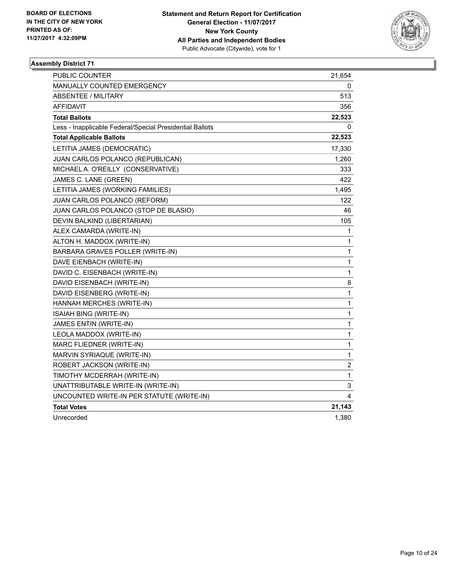

| <b>PUBLIC COUNTER</b>                                    | 21,654       |
|----------------------------------------------------------|--------------|
| <b>MANUALLY COUNTED EMERGENCY</b>                        | 0            |
| <b>ABSENTEE / MILITARY</b>                               | 513          |
| <b>AFFIDAVIT</b>                                         | 356          |
| <b>Total Ballots</b>                                     | 22,523       |
| Less - Inapplicable Federal/Special Presidential Ballots | 0            |
| <b>Total Applicable Ballots</b>                          | 22,523       |
| LETITIA JAMES (DEMOCRATIC)                               | 17,330       |
| JUAN CARLOS POLANCO (REPUBLICAN)                         | 1,260        |
| MICHAEL A. O'REILLY (CONSERVATIVE)                       | 333          |
| JAMES C. LANE (GREEN)                                    | 422          |
| LETITIA JAMES (WORKING FAMILIES)                         | 1,495        |
| JUAN CARLOS POLANCO (REFORM)                             | 122          |
| JUAN CARLOS POLANCO (STOP DE BLASIO)                     | 46           |
| DEVIN BALKIND (LIBERTARIAN)                              | 105          |
| ALEX CAMARDA (WRITE-IN)                                  | 1            |
| ALTON H. MADDOX (WRITE-IN)                               | $\mathbf{1}$ |
| BARBARA GRAVES POLLER (WRITE-IN)                         | 1            |
| DAVE EIENBACH (WRITE-IN)                                 | 1            |
| DAVID C. EISENBACH (WRITE-IN)                            | 1            |
| DAVID EISENBACH (WRITE-IN)                               | 8            |
| DAVID EISENBERG (WRITE-IN)                               | 1            |
| HANNAH MERCHES (WRITE-IN)                                | 1            |
| <b>ISAIAH BING (WRITE-IN)</b>                            | 1            |
| <b>JAMES ENTIN (WRITE-IN)</b>                            | $\mathbf{1}$ |
| LEOLA MADDOX (WRITE-IN)                                  | $\mathbf{1}$ |
| MARC FLIEDNER (WRITE-IN)                                 | 1            |
| MARVIN SYRIAQUE (WRITE-IN)                               | 1            |
| ROBERT JACKSON (WRITE-IN)                                | 2            |
| TIMOTHY MCDERRAH (WRITE-IN)                              | $\mathbf{1}$ |
| UNATTRIBUTABLE WRITE-IN (WRITE-IN)                       | 3            |
| UNCOUNTED WRITE-IN PER STATUTE (WRITE-IN)                | 4            |
| <b>Total Votes</b>                                       | 21,143       |
| Unrecorded                                               | 1,380        |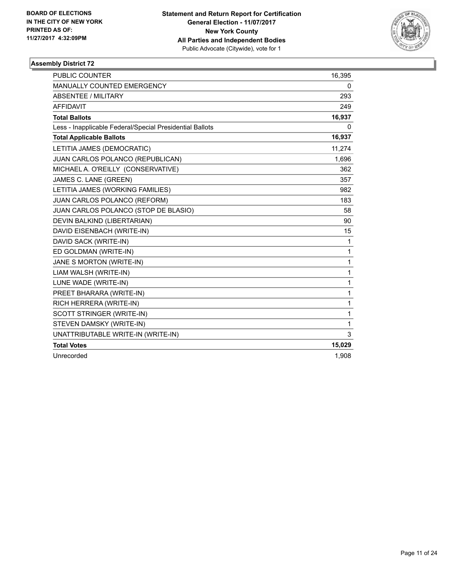

| <b>PUBLIC COUNTER</b>                                    | 16,395 |
|----------------------------------------------------------|--------|
| <b>MANUALLY COUNTED EMERGENCY</b>                        | 0      |
| <b>ABSENTEE / MILITARY</b>                               | 293    |
| <b>AFFIDAVIT</b>                                         | 249    |
| <b>Total Ballots</b>                                     | 16,937 |
| Less - Inapplicable Federal/Special Presidential Ballots | 0      |
| <b>Total Applicable Ballots</b>                          | 16,937 |
| LETITIA JAMES (DEMOCRATIC)                               | 11,274 |
| JUAN CARLOS POLANCO (REPUBLICAN)                         | 1,696  |
| MICHAEL A. O'REILLY (CONSERVATIVE)                       | 362    |
| JAMES C. LANE (GREEN)                                    | 357    |
| LETITIA JAMES (WORKING FAMILIES)                         | 982    |
| JUAN CARLOS POLANCO (REFORM)                             | 183    |
| JUAN CARLOS POLANCO (STOP DE BLASIO)                     | 58     |
| DEVIN BALKIND (LIBERTARIAN)                              | 90     |
| DAVID EISENBACH (WRITE-IN)                               | 15     |
| DAVID SACK (WRITE-IN)                                    | 1      |
| ED GOLDMAN (WRITE-IN)                                    | 1      |
| JANE S MORTON (WRITE-IN)                                 | 1      |
| LIAM WALSH (WRITE-IN)                                    | 1      |
| LUNE WADE (WRITE-IN)                                     | 1      |
| PREET BHARARA (WRITE-IN)                                 | 1      |
| RICH HERRERA (WRITE-IN)                                  | 1      |
| SCOTT STRINGER (WRITE-IN)                                | 1      |
| STEVEN DAMSKY (WRITE-IN)                                 | 1      |
| UNATTRIBUTABLE WRITE-IN (WRITE-IN)                       | 3      |
| <b>Total Votes</b>                                       | 15,029 |
| Unrecorded                                               | 1,908  |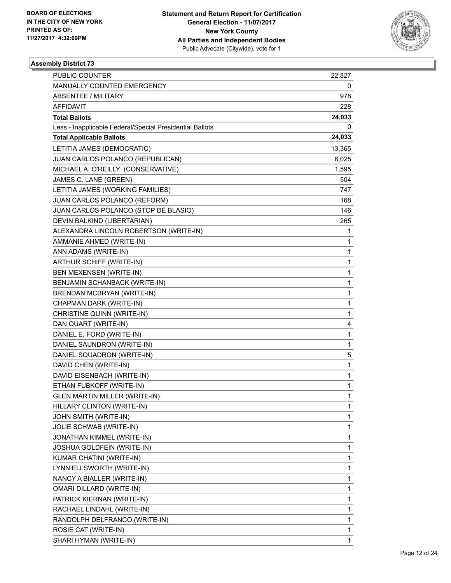

| <b>PUBLIC COUNTER</b>                                    | 22,827 |
|----------------------------------------------------------|--------|
| MANUALLY COUNTED EMERGENCY                               | 0      |
| <b>ABSENTEE / MILITARY</b>                               | 978    |
| AFFIDAVIT                                                | 228    |
| <b>Total Ballots</b>                                     | 24,033 |
| Less - Inapplicable Federal/Special Presidential Ballots | 0      |
| <b>Total Applicable Ballots</b>                          | 24,033 |
| LETITIA JAMES (DEMOCRATIC)                               | 13,365 |
| JUAN CARLOS POLANCO (REPUBLICAN)                         | 6,025  |
| MICHAEL A. O'REILLY (CONSERVATIVE)                       | 1,595  |
| JAMES C. LANE (GREEN)                                    | 504    |
| LETITIA JAMES (WORKING FAMILIES)                         | 747    |
| JUAN CARLOS POLANCO (REFORM)                             | 168    |
| JUAN CARLOS POLANCO (STOP DE BLASIO)                     | 146    |
| DEVIN BALKIND (LIBERTARIAN)                              | 265    |
| ALEXANDRA LINCOLN ROBERTSON (WRITE-IN)                   | 1      |
| AMMANIE AHMED (WRITE-IN)                                 | 1      |
| ANN ADAMS (WRITE-IN)                                     | 1      |
| ARTHUR SCHIFF (WRITE-IN)                                 | 1      |
| BEN MEXENSEN (WRITE-IN)                                  | 1      |
| BENJAMIN SCHANBACK (WRITE-IN)                            | 1      |
| BRENDAN MCBRYAN (WRITE-IN)                               | 1      |
| CHAPMAN DARK (WRITE-IN)                                  | 1      |
| CHRISTINE QUINN (WRITE-IN)                               | 1      |
| DAN QUART (WRITE-IN)                                     | 4      |
| DANIEL E. FORD (WRITE-IN)                                | 1      |
| DANIEL SAUNDRON (WRITE-IN)                               | 1      |
| DANIEL SQUADRON (WRITE-IN)                               | 5      |
| DAVID CHEN (WRITE-IN)                                    | 1      |
| DAVID EISENBACH (WRITE-IN)                               | 1      |
| ETHAN FUBKOFF (WRITE-IN)                                 | 1      |
| <b>GLEN MARTIN MILLER (WRITE-IN)</b>                     | 1      |
| HILLARY CLINTON (WRITE-IN)                               | 1      |
| JOHN SMITH (WRITE-IN)                                    | 1      |
| JOLIE SCHWAB (WRITE-IN)                                  | 1      |
| JONATHAN KIMMEL (WRITE-IN)                               | 1      |
| JOSHUA GOLDFEIN (WRITE-IN)                               | 1      |
| KUMAR CHATINI (WRITE-IN)                                 | 1      |
| LYNN ELLSWORTH (WRITE-IN)                                | 1      |
| NANCY A BIALLER (WRITE-IN)                               | 1      |
| OMARI DILLARD (WRITE-IN)                                 | 1      |
| PATRICK KIERNAN (WRITE-IN)                               | 1      |
| RACHAEL LINDAHL (WRITE-IN)                               | 1      |
| RANDOLPH DELFRANCO (WRITE-IN)                            | 1      |
| ROSIE CAT (WRITE-IN)                                     | 1      |
| SHARI HYMAN (WRITE-IN)                                   | 1      |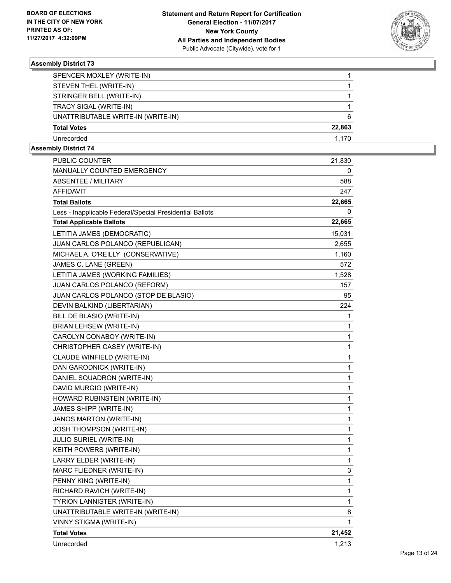

| SPENCER MOXLEY (WRITE-IN)          |        |
|------------------------------------|--------|
| STEVEN THEL (WRITE-IN)             |        |
| STRINGER BELL (WRITE-IN)           |        |
| TRACY SIGAL (WRITE-IN)             |        |
| UNATTRIBUTABLE WRITE-IN (WRITE-IN) | 6      |
| <b>Total Votes</b>                 | 22,863 |
| Unrecorded                         | 1.170  |

| PUBLIC COUNTER                                           | 21,830 |
|----------------------------------------------------------|--------|
| MANUALLY COUNTED EMERGENCY                               | 0      |
| ABSENTEE / MILITARY                                      | 588    |
| <b>AFFIDAVIT</b>                                         | 247    |
| <b>Total Ballots</b>                                     | 22,665 |
| Less - Inapplicable Federal/Special Presidential Ballots | 0      |
| <b>Total Applicable Ballots</b>                          | 22,665 |
| LETITIA JAMES (DEMOCRATIC)                               | 15,031 |
| JUAN CARLOS POLANCO (REPUBLICAN)                         | 2,655  |
| MICHAEL A. O'REILLY (CONSERVATIVE)                       | 1,160  |
| JAMES C. LANE (GREEN)                                    | 572    |
| LETITIA JAMES (WORKING FAMILIES)                         | 1,528  |
| JUAN CARLOS POLANCO (REFORM)                             | 157    |
| JUAN CARLOS POLANCO (STOP DE BLASIO)                     | 95     |
| DEVIN BALKIND (LIBERTARIAN)                              | 224    |
| BILL DE BLASIO (WRITE-IN)                                | 1      |
| <b>BRIAN LEHSEW (WRITE-IN)</b>                           | 1      |
| CAROLYN CONABOY (WRITE-IN)                               | 1      |
| CHRISTOPHER CASEY (WRITE-IN)                             | 1      |
| CLAUDE WINFIELD (WRITE-IN)                               | 1      |
| DAN GARODNICK (WRITE-IN)                                 | 1      |
| DANIEL SQUADRON (WRITE-IN)                               | 1      |
| DAVID MURGIO (WRITE-IN)                                  | 1      |
| HOWARD RUBINSTEIN (WRITE-IN)                             | 1      |
| JAMES SHIPP (WRITE-IN)                                   | 1      |
| JANOS MARTON (WRITE-IN)                                  | 1      |
| <b>JOSH THOMPSON (WRITE-IN)</b>                          | 1      |
| <b>JULIO SURIEL (WRITE-IN)</b>                           | 1      |
| KEITH POWERS (WRITE-IN)                                  | 1      |
| LARRY ELDER (WRITE-IN)                                   | 1      |
| MARC FLIEDNER (WRITE-IN)                                 | 3      |
| PENNY KING (WRITE-IN)                                    | 1      |
| RICHARD RAVICH (WRITE-IN)                                | 1      |
| TYRION LANNISTER (WRITE-IN)                              | 1      |
| UNATTRIBUTABLE WRITE-IN (WRITE-IN)                       | 8      |
| VINNY STIGMA (WRITE-IN)                                  | 1      |
| <b>Total Votes</b>                                       | 21,452 |
| Unrecorded                                               | 1,213  |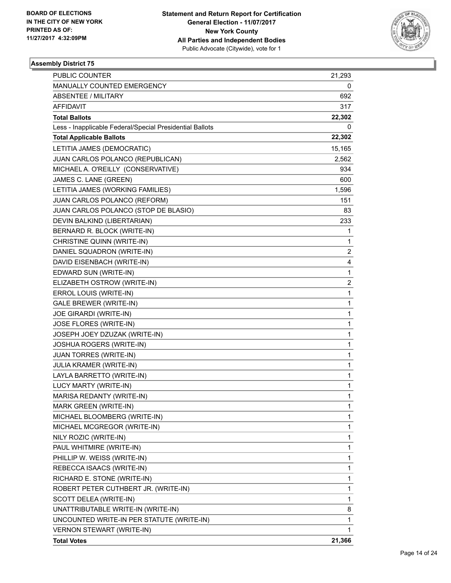

| PUBLIC COUNTER                                           | 21,293                  |
|----------------------------------------------------------|-------------------------|
| MANUALLY COUNTED EMERGENCY                               | 0                       |
| ABSENTEE / MILITARY                                      | 692                     |
| AFFIDAVIT                                                | 317                     |
| <b>Total Ballots</b>                                     | 22,302                  |
| Less - Inapplicable Federal/Special Presidential Ballots | 0                       |
| <b>Total Applicable Ballots</b>                          | 22,302                  |
| LETITIA JAMES (DEMOCRATIC)                               | 15,165                  |
| JUAN CARLOS POLANCO (REPUBLICAN)                         | 2,562                   |
| MICHAEL A. O'REILLY (CONSERVATIVE)                       | 934                     |
| JAMES C. LANE (GREEN)                                    | 600                     |
| LETITIA JAMES (WORKING FAMILIES)                         | 1,596                   |
| JUAN CARLOS POLANCO (REFORM)                             | 151                     |
| JUAN CARLOS POLANCO (STOP DE BLASIO)                     | 83                      |
| DEVIN BALKIND (LIBERTARIAN)                              | 233                     |
| BERNARD R. BLOCK (WRITE-IN)                              | 1                       |
| CHRISTINE QUINN (WRITE-IN)                               | 1                       |
| DANIEL SQUADRON (WRITE-IN)                               | $\overline{c}$          |
| DAVID EISENBACH (WRITE-IN)                               | 4                       |
| EDWARD SUN (WRITE-IN)                                    | 1                       |
| ELIZABETH OSTROW (WRITE-IN)                              | $\overline{\mathbf{c}}$ |
| ERROL LOUIS (WRITE-IN)                                   | 1                       |
| <b>GALE BREWER (WRITE-IN)</b>                            | 1                       |
| JOE GIRARDI (WRITE-IN)                                   | 1                       |
| JOSE FLORES (WRITE-IN)                                   | 1                       |
| JOSEPH JOEY DZUZAK (WRITE-IN)                            | 1                       |
| JOSHUA ROGERS (WRITE-IN)                                 | 1                       |
| <b>JUAN TORRES (WRITE-IN)</b>                            | 1                       |
| JULIA KRAMER (WRITE-IN)                                  | 1                       |
| LAYLA BARRETTO (WRITE-IN)                                | 1                       |
| LUCY MARTY (WRITE-IN)                                    | 1                       |
| MARISA REDANTY (WRITE-IN)                                | 1                       |
| <b>MARK GREEN (WRITE-IN)</b>                             | 1                       |
| MICHAEL BLOOMBERG (WRITE-IN)                             | 1                       |
| MICHAEL MCGREGOR (WRITE-IN)                              | 1                       |
| NILY ROZIC (WRITE-IN)                                    | 1                       |
| PAUL WHITMIRE (WRITE-IN)                                 | 1                       |
| PHILLIP W. WEISS (WRITE-IN)                              | 1                       |
| REBECCA ISAACS (WRITE-IN)                                | 1                       |
| RICHARD E. STONE (WRITE-IN)                              | 1                       |
| ROBERT PETER CUTHBERT JR. (WRITE-IN)                     | 1                       |
| SCOTT DELEA (WRITE-IN)                                   | 1                       |
| UNATTRIBUTABLE WRITE-IN (WRITE-IN)                       | 8                       |
| UNCOUNTED WRITE-IN PER STATUTE (WRITE-IN)                | 1                       |
| <b>VERNON STEWART (WRITE-IN)</b>                         | 1                       |
| <b>Total Votes</b>                                       | 21,366                  |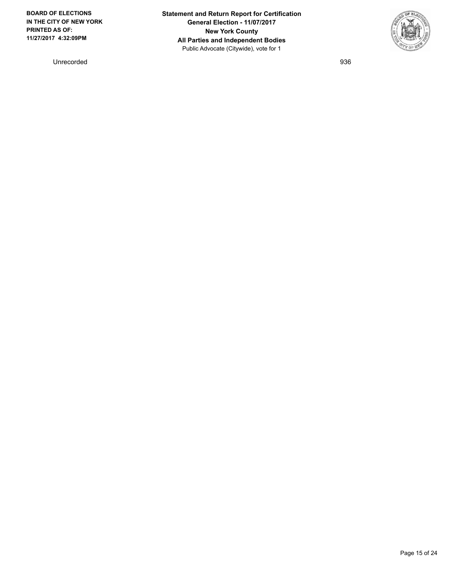Unrecorded 936

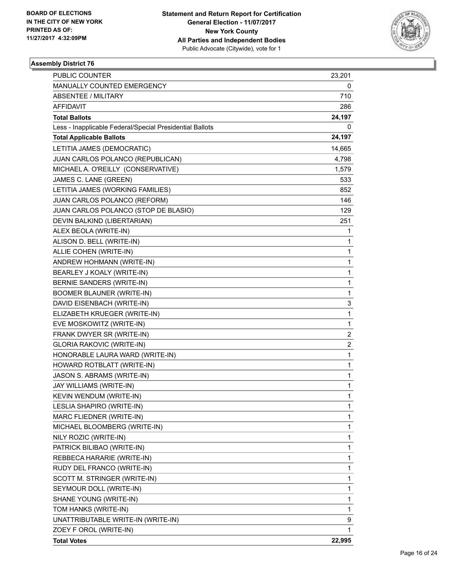

| PUBLIC COUNTER                                           | 23,201                  |
|----------------------------------------------------------|-------------------------|
| MANUALLY COUNTED EMERGENCY                               | 0                       |
| <b>ABSENTEE / MILITARY</b>                               | 710                     |
| <b>AFFIDAVIT</b>                                         | 286                     |
| <b>Total Ballots</b>                                     | 24,197                  |
| Less - Inapplicable Federal/Special Presidential Ballots | 0                       |
| <b>Total Applicable Ballots</b>                          | 24,197                  |
| LETITIA JAMES (DEMOCRATIC)                               | 14,665                  |
| JUAN CARLOS POLANCO (REPUBLICAN)                         | 4,798                   |
| MICHAEL A. O'REILLY (CONSERVATIVE)                       | 1,579                   |
| JAMES C. LANE (GREEN)                                    | 533                     |
| LETITIA JAMES (WORKING FAMILIES)                         | 852                     |
| JUAN CARLOS POLANCO (REFORM)                             | 146                     |
| JUAN CARLOS POLANCO (STOP DE BLASIO)                     | 129                     |
| DEVIN BALKIND (LIBERTARIAN)                              | 251                     |
| ALEX BEOLA (WRITE-IN)                                    | 1                       |
| ALISON D. BELL (WRITE-IN)                                | 1                       |
| ALLIE COHEN (WRITE-IN)                                   | 1                       |
| ANDREW HOHMANN (WRITE-IN)                                | 1                       |
| BEARLEY J KOALY (WRITE-IN)                               | 1                       |
| BERNIE SANDERS (WRITE-IN)                                | 1                       |
| <b>BOOMER BLAUNER (WRITE-IN)</b>                         | 1                       |
| DAVID EISENBACH (WRITE-IN)                               | 3                       |
| ELIZABETH KRUEGER (WRITE-IN)                             | 1                       |
| EVE MOSKOWITZ (WRITE-IN)                                 | 1                       |
| FRANK DWYER SR (WRITE-IN)                                | $\overline{\mathbf{c}}$ |
| <b>GLORIA RAKOVIC (WRITE-IN)</b>                         | $\overline{\mathbf{c}}$ |
| HONORABLE LAURA WARD (WRITE-IN)                          | 1                       |
| HOWARD ROTBLATT (WRITE-IN)                               | 1                       |
| JASON S. ABRAMS (WRITE-IN)                               | 1                       |
| JAY WILLIAMS (WRITE-IN)                                  | 1                       |
| KEVIN WENDUM (WRITE-IN)                                  | 1                       |
| LESLIA SHAPIRO (WRITE-IN)                                | 1                       |
| MARC FLIEDNER (WRITE-IN)                                 | 1                       |
| MICHAEL BLOOMBERG (WRITE-IN)                             | 1                       |
| NILY ROZIC (WRITE-IN)                                    | 1                       |
| PATRICK BILIBAO (WRITE-IN)                               | 1                       |
| REBBECA HARARIE (WRITE-IN)                               | 1                       |
| RUDY DEL FRANCO (WRITE-IN)                               | 1                       |
| SCOTT M. STRINGER (WRITE-IN)                             | 1                       |
| SEYMOUR DOLL (WRITE-IN)                                  | 1                       |
| SHANE YOUNG (WRITE-IN)                                   | 1                       |
| TOM HANKS (WRITE-IN)                                     | 1                       |
| UNATTRIBUTABLE WRITE-IN (WRITE-IN)                       | 9                       |
| ZOEY F OROL (WRITE-IN)                                   | 1                       |
| <b>Total Votes</b>                                       | 22,995                  |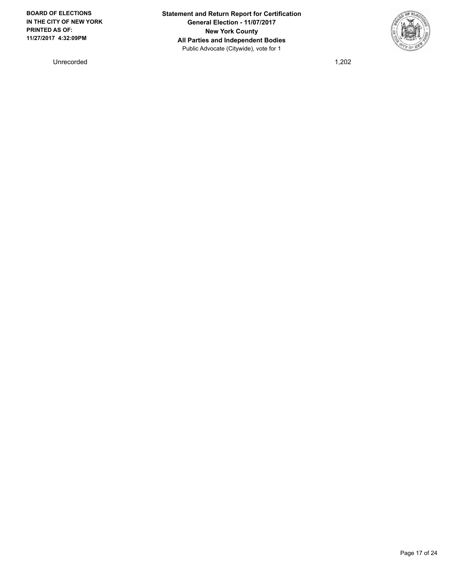Unrecorded 1,202

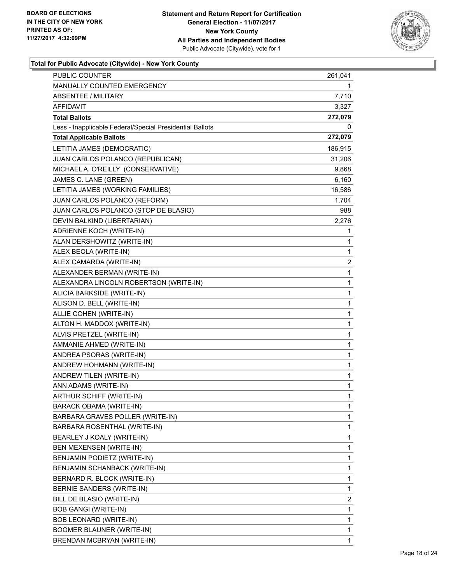

| PUBLIC COUNTER                                           | 261,041 |
|----------------------------------------------------------|---------|
| MANUALLY COUNTED EMERGENCY                               | 1       |
| <b>ABSENTEE / MILITARY</b>                               | 7,710   |
| AFFIDAVIT                                                | 3,327   |
| <b>Total Ballots</b>                                     | 272,079 |
| Less - Inapplicable Federal/Special Presidential Ballots | 0       |
| <b>Total Applicable Ballots</b>                          | 272,079 |
| LETITIA JAMES (DEMOCRATIC)                               | 186,915 |
| JUAN CARLOS POLANCO (REPUBLICAN)                         | 31,206  |
| MICHAEL A. O'REILLY (CONSERVATIVE)                       | 9,868   |
| JAMES C. LANE (GREEN)                                    | 6,160   |
| LETITIA JAMES (WORKING FAMILIES)                         | 16,586  |
| JUAN CARLOS POLANCO (REFORM)                             | 1,704   |
| JUAN CARLOS POLANCO (STOP DE BLASIO)                     | 988     |
| DEVIN BALKIND (LIBERTARIAN)                              | 2,276   |
| ADRIENNE KOCH (WRITE-IN)                                 | 1       |
| ALAN DERSHOWITZ (WRITE-IN)                               | 1       |
| ALEX BEOLA (WRITE-IN)                                    | 1       |
| ALEX CAMARDA (WRITE-IN)                                  | 2       |
| ALEXANDER BERMAN (WRITE-IN)                              | 1       |
| ALEXANDRA LINCOLN ROBERTSON (WRITE-IN)                   | 1       |
| ALICIA BARKSIDE (WRITE-IN)                               | 1       |
| ALISON D. BELL (WRITE-IN)                                | 1       |
| ALLIE COHEN (WRITE-IN)                                   | 1       |
| ALTON H. MADDOX (WRITE-IN)                               | 1       |
| ALVIS PRETZEL (WRITE-IN)                                 | 1       |
| AMMANIE AHMED (WRITE-IN)                                 | 1       |
| ANDREA PSORAS (WRITE-IN)                                 | 1       |
| ANDREW HOHMANN (WRITE-IN)                                | 1       |
| ANDREW TILEN (WRITE-IN)                                  | 1       |
| ANN ADAMS (WRITE-IN)                                     | 1       |
| ARTHUR SCHIFF (WRITE-IN)                                 | 1       |
| BARACK OBAMA (WRITE-IN)                                  | 1       |
| BARBARA GRAVES POLLER (WRITE-IN)                         | 1       |
| BARBARA ROSENTHAL (WRITE-IN)                             | 1       |
| BEARLEY J KOALY (WRITE-IN)                               | 1       |
| BEN MEXENSEN (WRITE-IN)                                  | 1       |
| BENJAMIN PODIETZ (WRITE-IN)                              | 1       |
| BENJAMIN SCHANBACK (WRITE-IN)                            | 1       |
| BERNARD R. BLOCK (WRITE-IN)                              | 1       |
| BERNIE SANDERS (WRITE-IN)                                | 1       |
| BILL DE BLASIO (WRITE-IN)                                | 2       |
| <b>BOB GANGI (WRITE-IN)</b>                              | 1       |
| BOB LEONARD (WRITE-IN)                                   | 1       |
| BOOMER BLAUNER (WRITE-IN)                                | 1       |
| BRENDAN MCBRYAN (WRITE-IN)                               | 1       |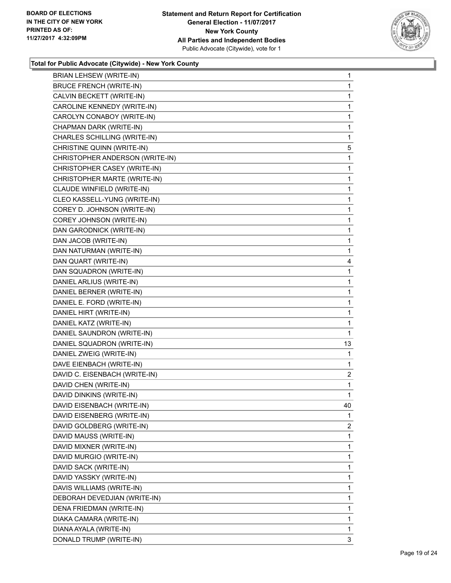

| BRIAN LEHSEW (WRITE-IN)         | 1  |
|---------------------------------|----|
| <b>BRUCE FRENCH (WRITE-IN)</b>  | 1  |
| CALVIN BECKETT (WRITE-IN)       | 1  |
| CAROLINE KENNEDY (WRITE-IN)     | 1  |
| CAROLYN CONABOY (WRITE-IN)      | 1  |
| CHAPMAN DARK (WRITE-IN)         | 1  |
| CHARLES SCHILLING (WRITE-IN)    | 1  |
| CHRISTINE QUINN (WRITE-IN)      | 5  |
| CHRISTOPHER ANDERSON (WRITE-IN) | 1  |
| CHRISTOPHER CASEY (WRITE-IN)    | 1  |
| CHRISTOPHER MARTE (WRITE-IN)    | 1  |
| CLAUDE WINFIELD (WRITE-IN)      | 1  |
| CLEO KASSELL-YUNG (WRITE-IN)    | 1  |
| COREY D. JOHNSON (WRITE-IN)     | 1  |
| COREY JOHNSON (WRITE-IN)        | 1  |
| DAN GARODNICK (WRITE-IN)        | 1  |
| DAN JACOB (WRITE-IN)            | 1  |
| DAN NATURMAN (WRITE-IN)         | 1  |
| DAN QUART (WRITE-IN)            | 4  |
| DAN SQUADRON (WRITE-IN)         | 1  |
| DANIEL ARLIUS (WRITE-IN)        | 1  |
| DANIEL BERNER (WRITE-IN)        | 1  |
| DANIEL E. FORD (WRITE-IN)       | 1  |
| DANIEL HIRT (WRITE-IN)          | 1  |
| DANIEL KATZ (WRITE-IN)          | 1  |
| DANIEL SAUNDRON (WRITE-IN)      | 1  |
| DANIEL SQUADRON (WRITE-IN)      | 13 |
| DANIEL ZWEIG (WRITE-IN)         | 1  |
| DAVE EIENBACH (WRITE-IN)        | 1  |
| DAVID C. EISENBACH (WRITE-IN)   | 2  |
| DAVID CHEN (WRITE-IN)           | 1  |
| DAVID DINKINS (WRITE-IN)        | 1  |
| DAVID EISENBACH (WRITE-IN)      | 40 |
| DAVID EISENBERG (WRITE-IN)      | 1  |
| DAVID GOLDBERG (WRITE-IN)       | 2  |
| DAVID MAUSS (WRITE-IN)          | 1  |
| DAVID MIXNER (WRITE-IN)         | 1  |
| DAVID MURGIO (WRITE-IN)         | 1  |
| DAVID SACK (WRITE-IN)           | 1  |
| DAVID YASSKY (WRITE-IN)         | 1  |
| DAVIS WILLIAMS (WRITE-IN)       | 1  |
| DEBORAH DEVEDJIAN (WRITE-IN)    | 1  |
| DENA FRIEDMAN (WRITE-IN)        | 1  |
| DIAKA CAMARA (WRITE-IN)         | 1  |
| DIANA AYALA (WRITE-IN)          | 1  |
| DONALD TRUMP (WRITE-IN)         | 3  |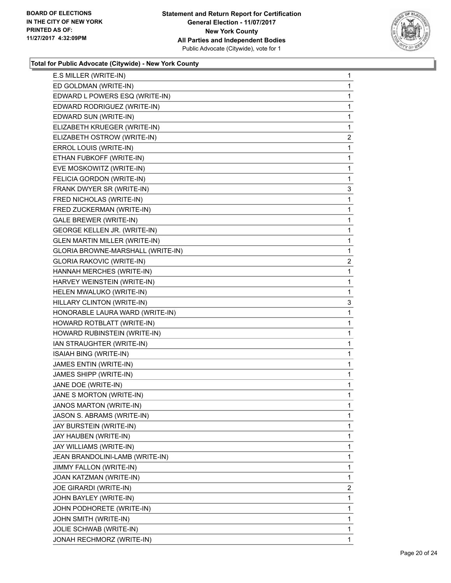

| E.S MILLER (WRITE-IN)                | 1              |
|--------------------------------------|----------------|
| ED GOLDMAN (WRITE-IN)                | 1              |
| EDWARD L POWERS ESQ (WRITE-IN)       | 1              |
| EDWARD RODRIGUEZ (WRITE-IN)          | 1              |
| EDWARD SUN (WRITE-IN)                | 1              |
| ELIZABETH KRUEGER (WRITE-IN)         | 1              |
| ELIZABETH OSTROW (WRITE-IN)          | $\mathbf{2}$   |
| ERROL LOUIS (WRITE-IN)               | 1              |
| ETHAN FUBKOFF (WRITE-IN)             | 1              |
| EVE MOSKOWITZ (WRITE-IN)             | 1              |
| FELICIA GORDON (WRITE-IN)            | 1              |
| FRANK DWYER SR (WRITE-IN)            | 3              |
| FRED NICHOLAS (WRITE-IN)             | 1              |
| FRED ZUCKERMAN (WRITE-IN)            | 1              |
| <b>GALE BREWER (WRITE-IN)</b>        | 1              |
| GEORGE KELLEN JR. (WRITE-IN)         | 1              |
| <b>GLEN MARTIN MILLER (WRITE-IN)</b> | 1              |
| GLORIA BROWNE-MARSHALL (WRITE-IN)    | 1              |
| <b>GLORIA RAKOVIC (WRITE-IN)</b>     | $\mathbf{2}$   |
| HANNAH MERCHES (WRITE-IN)            | 1              |
| HARVEY WEINSTEIN (WRITE-IN)          | 1              |
| HELEN MWALUKO (WRITE-IN)             | 1              |
| HILLARY CLINTON (WRITE-IN)           | 3              |
| HONORABLE LAURA WARD (WRITE-IN)      | 1              |
| HOWARD ROTBLATT (WRITE-IN)           | 1              |
| HOWARD RUBINSTEIN (WRITE-IN)         | 1              |
| IAN STRAUGHTER (WRITE-IN)            | 1              |
| ISAIAH BING (WRITE-IN)               | 1              |
| JAMES ENTIN (WRITE-IN)               | 1              |
| JAMES SHIPP (WRITE-IN)               | 1              |
| JANE DOE (WRITE-IN)                  | 1              |
| JANE S MORTON (WRITE-IN)             | 1              |
| JANOS MARTON (WRITE-IN)              | 1              |
| JASON S. ABRAMS (WRITE-IN)           | 1              |
| JAY BURSTEIN (WRITE-IN)              | 1              |
| JAY HAUBEN (WRITE-IN)                | 1              |
| JAY WILLIAMS (WRITE-IN)              | 1              |
| JEAN BRANDOLINI-LAMB (WRITE-IN)      | 1              |
| JIMMY FALLON (WRITE-IN)              | 1              |
| JOAN KATZMAN (WRITE-IN)              | 1              |
| JOE GIRARDI (WRITE-IN)               | $\overline{2}$ |
| JOHN BAYLEY (WRITE-IN)               | 1              |
| JOHN PODHORETE (WRITE-IN)            | 1              |
| JOHN SMITH (WRITE-IN)                | 1              |
| JOLIE SCHWAB (WRITE-IN)              | 1              |
| JONAH RECHMORZ (WRITE-IN)            | 1              |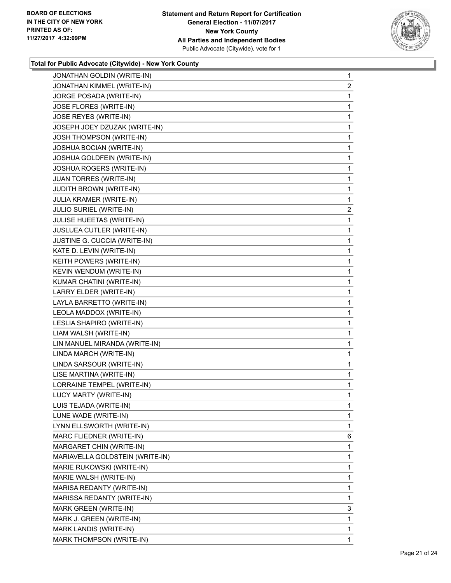

| JONATHAN GOLDIN (WRITE-IN)      | 1              |
|---------------------------------|----------------|
| JONATHAN KIMMEL (WRITE-IN)      | $\overline{2}$ |
| JORGE POSADA (WRITE-IN)         | 1              |
| JOSE FLORES (WRITE-IN)          | 1              |
| JOSE REYES (WRITE-IN)           | 1              |
| JOSEPH JOEY DZUZAK (WRITE-IN)   | 1              |
| JOSH THOMPSON (WRITE-IN)        | 1              |
| JOSHUA BOCIAN (WRITE-IN)        | 1              |
| JOSHUA GOLDFEIN (WRITE-IN)      | 1              |
| JOSHUA ROGERS (WRITE-IN)        | 1              |
| <b>JUAN TORRES (WRITE-IN)</b>   | 1              |
| <b>JUDITH BROWN (WRITE-IN)</b>  | 1              |
| JULIA KRAMER (WRITE-IN)         | 1              |
| <b>JULIO SURIEL (WRITE-IN)</b>  | $\overline{2}$ |
| JULISE HUEETAS (WRITE-IN)       | 1              |
| JUSLUEA CUTLER (WRITE-IN)       | 1              |
| JUSTINE G. CUCCIA (WRITE-IN)    | 1              |
| KATE D. LEVIN (WRITE-IN)        | 1              |
| KEITH POWERS (WRITE-IN)         | 1              |
| KEVIN WENDUM (WRITE-IN)         | 1              |
| KUMAR CHATINI (WRITE-IN)        | 1              |
| LARRY ELDER (WRITE-IN)          | 1              |
| LAYLA BARRETTO (WRITE-IN)       | 1              |
| LEOLA MADDOX (WRITE-IN)         | 1              |
| LESLIA SHAPIRO (WRITE-IN)       | 1              |
| LIAM WALSH (WRITE-IN)           | 1              |
| LIN MANUEL MIRANDA (WRITE-IN)   | 1              |
| LINDA MARCH (WRITE-IN)          | 1              |
| LINDA SARSOUR (WRITE-IN)        | 1              |
| LISE MARTINA (WRITE-IN)         | 1              |
| LORRAINE TEMPEL (WRITE-IN)      | 1              |
| LUCY MARTY (WRITE-IN)           | 1              |
| LUIS TEJADA (WRITE-IN)          | 1              |
| LUNE WADE (WRITE-IN)            | 1              |
| LYNN ELLSWORTH (WRITE-IN)       | 1              |
| MARC FLIEDNER (WRITE-IN)        | 6              |
| MARGARET CHIN (WRITE-IN)        | 1              |
| MARIAVELLA GOLDSTEIN (WRITE-IN) | 1              |
| MARIE RUKOWSKI (WRITE-IN)       | 1              |
| MARIE WALSH (WRITE-IN)          | 1              |
| MARISA REDANTY (WRITE-IN)       | 1              |
| MARISSA REDANTY (WRITE-IN)      | 1              |
| MARK GREEN (WRITE-IN)           | 3              |
| MARK J. GREEN (WRITE-IN)        | 1              |
| MARK LANDIS (WRITE-IN)          | 1              |
| MARK THOMPSON (WRITE-IN)        | $\mathbf 1$    |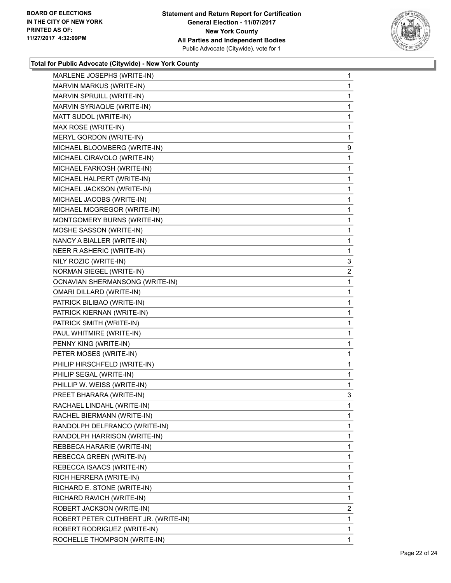

| MARLENE JOSEPHS (WRITE-IN)           | 1              |
|--------------------------------------|----------------|
| MARVIN MARKUS (WRITE-IN)             | 1              |
| MARVIN SPRUILL (WRITE-IN)            | 1              |
| MARVIN SYRIAQUE (WRITE-IN)           | 1              |
| MATT SUDOL (WRITE-IN)                | 1              |
| MAX ROSE (WRITE-IN)                  | 1              |
| MERYL GORDON (WRITE-IN)              | 1              |
| MICHAEL BLOOMBERG (WRITE-IN)         | 9              |
| MICHAEL CIRAVOLO (WRITE-IN)          | 1              |
| MICHAEL FARKOSH (WRITE-IN)           | 1              |
| MICHAEL HALPERT (WRITE-IN)           | 1              |
| MICHAEL JACKSON (WRITE-IN)           | 1              |
| MICHAEL JACOBS (WRITE-IN)            | 1              |
| MICHAEL MCGREGOR (WRITE-IN)          | 1              |
| MONTGOMERY BURNS (WRITE-IN)          | 1              |
| MOSHE SASSON (WRITE-IN)              | 1              |
| NANCY A BIALLER (WRITE-IN)           | 1              |
| NEER R ASHERIC (WRITE-IN)            | 1              |
| NILY ROZIC (WRITE-IN)                | 3              |
| NORMAN SIEGEL (WRITE-IN)             | $\overline{2}$ |
| OCNAVIAN SHERMANSONG (WRITE-IN)      | 1              |
| <b>OMARI DILLARD (WRITE-IN)</b>      | 1              |
| PATRICK BILIBAO (WRITE-IN)           | 1              |
| PATRICK KIERNAN (WRITE-IN)           | 1              |
| PATRICK SMITH (WRITE-IN)             | 1              |
| PAUL WHITMIRE (WRITE-IN)             | 1              |
| PENNY KING (WRITE-IN)                | 1              |
| PETER MOSES (WRITE-IN)               | 1              |
| PHILIP HIRSCHFELD (WRITE-IN)         | 1              |
| PHILIP SEGAL (WRITE-IN)              | 1              |
| PHILLIP W. WEISS (WRITE-IN)          | 1              |
| PREET BHARARA (WRITE-IN)             | 3              |
| RACHAEL LINDAHL (WRITE-IN)           | 1              |
| RACHEL BIERMANN (WRITE-IN)           | 1              |
| RANDOLPH DELFRANCO (WRITE-IN)        | 1              |
| RANDOLPH HARRISON (WRITE-IN)         | 1              |
| REBBECA HARARIE (WRITE-IN)           | 1              |
| REBECCA GREEN (WRITE-IN)             | 1              |
| REBECCA ISAACS (WRITE-IN)            | 1              |
| RICH HERRERA (WRITE-IN)              | 1              |
| RICHARD E. STONE (WRITE-IN)          | 1              |
| RICHARD RAVICH (WRITE-IN)            | 1              |
| ROBERT JACKSON (WRITE-IN)            | 2              |
| ROBERT PETER CUTHBERT JR. (WRITE-IN) | 1              |
| ROBERT RODRIGUEZ (WRITE-IN)          | 1              |
| ROCHELLE THOMPSON (WRITE-IN)         | 1              |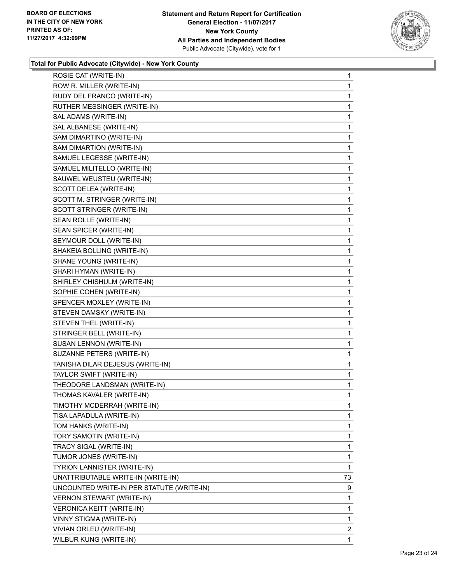

| ROSIE CAT (WRITE-IN)                      | 1            |
|-------------------------------------------|--------------|
| ROW R. MILLER (WRITE-IN)                  | 1            |
| RUDY DEL FRANCO (WRITE-IN)                | 1            |
| RUTHER MESSINGER (WRITE-IN)               | 1            |
| SAL ADAMS (WRITE-IN)                      | 1            |
| SAL ALBANESE (WRITE-IN)                   | 1            |
| SAM DIMARTINO (WRITE-IN)                  | 1            |
| SAM DIMARTION (WRITE-IN)                  | 1            |
| SAMUEL LEGESSE (WRITE-IN)                 | 1            |
| SAMUEL MILITELLO (WRITE-IN)               | 1            |
| SAUWEL WEUSTEU (WRITE-IN)                 | 1            |
| SCOTT DELEA (WRITE-IN)                    | 1            |
| SCOTT M. STRINGER (WRITE-IN)              | 1            |
| SCOTT STRINGER (WRITE-IN)                 | 1            |
| SEAN ROLLE (WRITE-IN)                     | 1            |
| SEAN SPICER (WRITE-IN)                    | $\mathbf{1}$ |
| SEYMOUR DOLL (WRITE-IN)                   | 1            |
| SHAKEIA BOLLING (WRITE-IN)                | 1            |
| SHANE YOUNG (WRITE-IN)                    | 1            |
| SHARI HYMAN (WRITE-IN)                    | 1            |
| SHIRLEY CHISHULM (WRITE-IN)               | 1            |
| SOPHIE COHEN (WRITE-IN)                   | $\mathbf{1}$ |
| SPENCER MOXLEY (WRITE-IN)                 | 1            |
| STEVEN DAMSKY (WRITE-IN)                  | 1            |
| STEVEN THEL (WRITE-IN)                    | 1            |
| STRINGER BELL (WRITE-IN)                  | 1            |
| SUSAN LENNON (WRITE-IN)                   | 1            |
| SUZANNE PETERS (WRITE-IN)                 | $\mathbf{1}$ |
| TANISHA DILAR DEJESUS (WRITE-IN)          | 1            |
| TAYLOR SWIFT (WRITE-IN)                   | 1            |
| THEODORE LANDSMAN (WRITE-IN)              | 1            |
| THOMAS KAVALER (WRITE-IN)                 | 1            |
| TIMOTHY MCDERRAH (WRITE-IN)               | 1            |
| TISA LAPADULA (WRITE-IN)                  | 1            |
| TOM HANKS (WRITE-IN)                      | 1            |
| TORY SAMOTIN (WRITE-IN)                   | 1            |
| TRACY SIGAL (WRITE-IN)                    | 1            |
| TUMOR JONES (WRITE-IN)                    | 1            |
| TYRION LANNISTER (WRITE-IN)               | 1            |
| UNATTRIBUTABLE WRITE-IN (WRITE-IN)        | 73           |
| UNCOUNTED WRITE-IN PER STATUTE (WRITE-IN) | 9            |
| VERNON STEWART (WRITE-IN)                 | 1            |
| VERONICA KEITT (WRITE-IN)                 | 1            |
| VINNY STIGMA (WRITE-IN)                   | 1            |
| VIVIAN ORLEU (WRITE-IN)                   | 2            |
| WILBUR KUNG (WRITE-IN)                    | $\mathbf{1}$ |